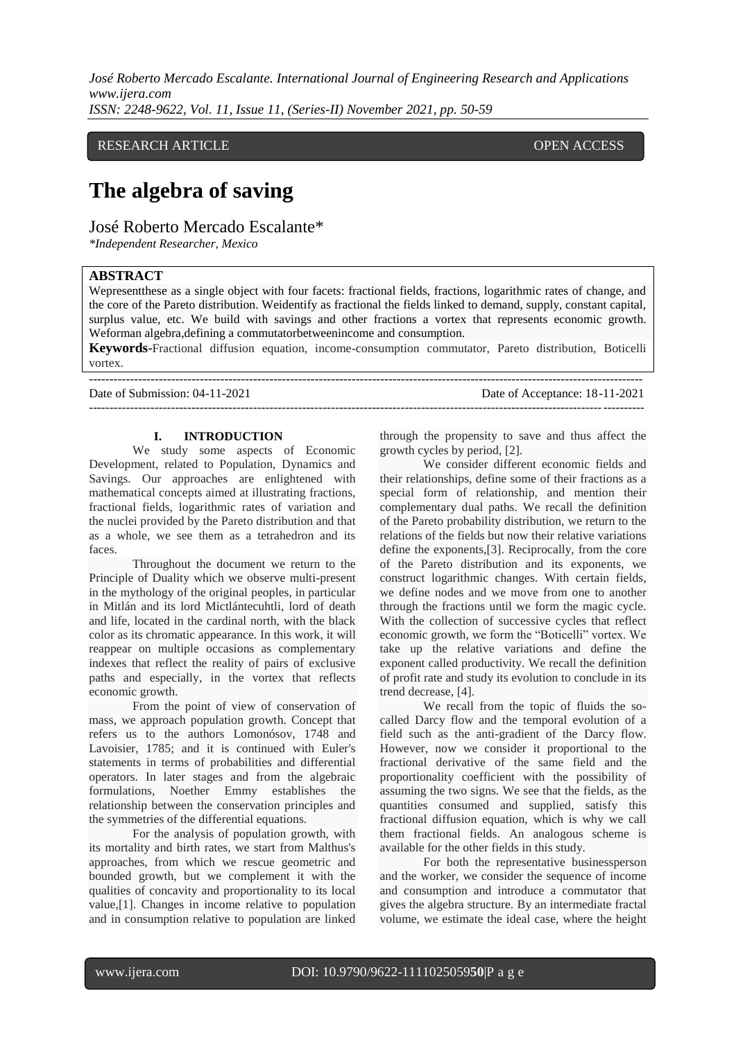RESEARCH ARTICLE **External open access** open access of the open access of the open access

# **The algebra of saving**

José Roberto Mercado Escalante\*

*\*Independent Researcher, Mexico*

# **ABSTRACT**

Wepresentthese as a single object with four facets: fractional fields, fractions, logarithmic rates of change, and the core of the Pareto distribution. Weidentify as fractional the fields linked to demand, supply, constant capital, surplus value, etc. We build with savings and other fractions a vortex that represents economic growth. Weforman algebra,defining a commutatorbetweenincome and consumption.

**Keywords**-Fractional diffusion equation, income-consumption commutator, Pareto distribution, Boticelli vortex.

---------------------------------------------------------------------------------------------------------------------------------------

Date of Submission: 04-11-2021 Date of Acceptance: 18-11-2021

 $-1\leq i\leq n-1\leq n-1\leq n-1\leq n-1\leq n-1\leq n-1\leq n-1\leq n-1\leq n-1\leq n-1\leq n-1\leq n-1\leq n-1\leq n-1\leq n-1\leq n-1\leq n-1\leq n-1\leq n-1\leq n-1\leq n-1\leq n-1\leq n-1\leq n-1\leq n-1\leq n-1\leq n-1\leq n-1\leq n-1\leq n-1\leq n-1\leq n-1\leq n-1\leq n-1\leq n-1\leq n$ 

## **I. INTRODUCTION**

We study some aspects of Economic Development, related to Population, Dynamics and Savings. Our approaches are enlightened with mathematical concepts aimed at illustrating fractions, fractional fields, logarithmic rates of variation and the nuclei provided by the Pareto distribution and that as a whole, we see them as a tetrahedron and its faces.

Throughout the document we return to the Principle of Duality which we observe multi-present in the mythology of the original peoples, in particular in Mitlán and its lord Mictlántecuhtli, lord of death and life, located in the cardinal north, with the black color as its chromatic appearance. In this work, it will reappear on multiple occasions as complementary indexes that reflect the reality of pairs of exclusive paths and especially, in the vortex that reflects economic growth.

From the point of view of conservation of mass, we approach population growth. Concept that refers us to the authors Lomonósov, 1748 and Lavoisier, 1785; and it is continued with Euler's statements in terms of probabilities and differential operators. In later stages and from the algebraic formulations, Noether Emmy establishes the relationship between the conservation principles and the symmetries of the differential equations.

For the analysis of population growth, with its mortality and birth rates, we start from Malthus's approaches, from which we rescue geometric and bounded growth, but we complement it with the qualities of concavity and proportionality to its local value,[1]. Changes in income relative to population and in consumption relative to population are linked

through the propensity to save and thus affect the growth cycles by period, [2].

We consider different economic fields and their relationships, define some of their fractions as a special form of relationship, and mention their complementary dual paths. We recall the definition of the Pareto probability distribution, we return to the relations of the fields but now their relative variations define the exponents,[3]. Reciprocally, from the core of the Pareto distribution and its exponents, we construct logarithmic changes. With certain fields, we define nodes and we move from one to another through the fractions until we form the magic cycle. With the collection of successive cycles that reflect economic growth, we form the "Boticelli" vortex. We take up the relative variations and define the exponent called productivity. We recall the definition of profit rate and study its evolution to conclude in its trend decrease, [4].

We recall from the topic of fluids the socalled Darcy flow and the temporal evolution of a field such as the anti-gradient of the Darcy flow. However, now we consider it proportional to the fractional derivative of the same field and the proportionality coefficient with the possibility of assuming the two signs. We see that the fields, as the quantities consumed and supplied, satisfy this fractional diffusion equation, which is why we call them fractional fields. An analogous scheme is available for the other fields in this study.

For both the representative businessperson and the worker, we consider the sequence of income and consumption and introduce a commutator that gives the algebra structure. By an intermediate fractal volume, we estimate the ideal case, where the height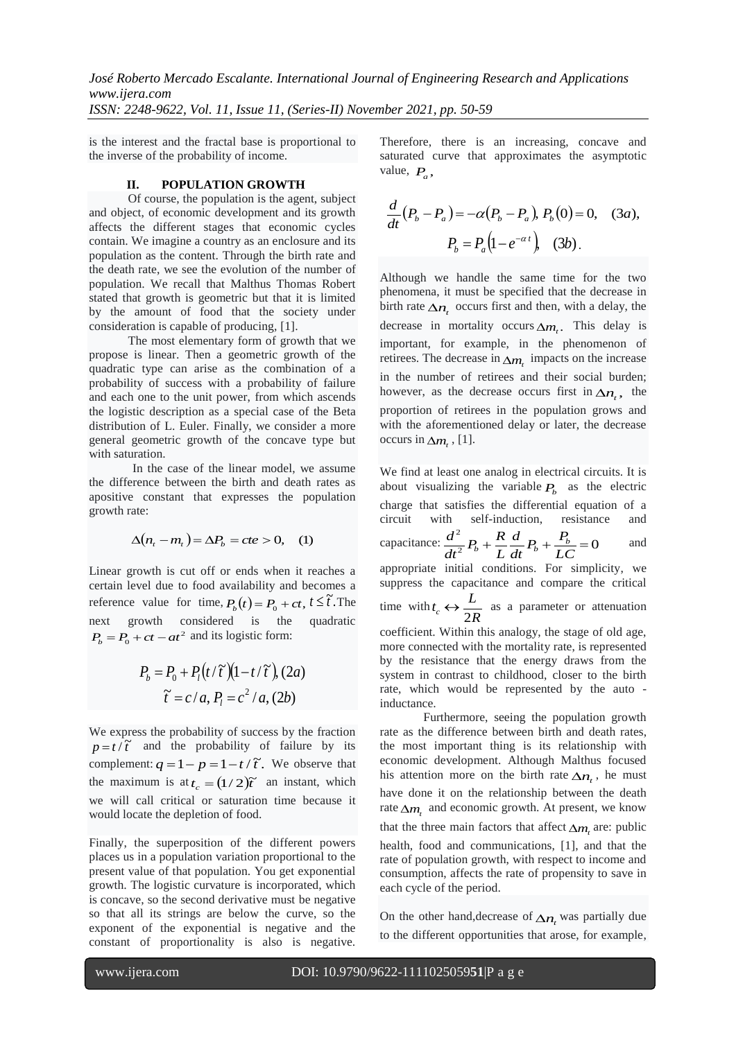is the interest and the fractal base is proportional to the inverse of the probability of income.

### **II. POPULATION GROWTH**

Of course, the population is the agent, subject and object, of economic development and its growth affects the different stages that economic cycles contain. We imagine a country as an enclosure and its population as the content. Through the birth rate and the death rate, we see the evolution of the number of population. We recall that Malthus Thomas Robert stated that growth is geometric but that it is limited by the amount of food that the society under consideration is capable of producing, [1].

The most elementary form of growth that we propose is linear. Then a geometric growth of the quadratic type can arise as the combination of a probability of success with a probability of failure and each one to the unit power, from which ascends the logistic description as a special case of the Beta distribution of L. Euler. Finally, we consider a more general geometric growth of the concave type but with saturation.

In the case of the linear model, we assume the difference between the birth and death rates as apositive constant that expresses the population growth rate:

$$
\Delta(n_t - m_t) = \Delta P_b = cte > 0, \quad (1)
$$

Linear growth is cut off or ends when it reaches a certain level due to food availability and becomes a reference value for time,  $P_b(t) = P_0 + ct$ ,  $t \leq \tilde{t}$ . The next growth considered is the quadratic  $P<sub>b</sub> = P<sub>0</sub> + ct - at<sup>2</sup>$  and its logistic form:

$$
P_b = P_0 + P_l(t/\tilde{\tau})(1 - t/\tilde{\tau}), (2a)
$$

$$
\tilde{\tau} = c/a, P_l = c^2/a, (2b)
$$

We express the probability of success by the fraction  $p = t/\tilde{t}$  and the probability of failure by its complement:  $q = 1 - \frac{1}{p} = 1 - \frac{1}{t}$ . We observe that the maximum is at  $t_c = (1/2)\tilde{t}$  an instant, which we will call critical or saturation time because it would locate the depletion of food.

Finally, the superposition of the different powers places us in a population variation proportional to the present value of that population. You get exponential growth. The logistic curvature is incorporated, which is concave, so the second derivative must be negative so that all its strings are below the curve, so the exponent of the exponential is negative and the constant of proportionality is also is negative.

Therefore, there is an increasing, concave and saturated curve that approximates the asymptotic value,  $P_a$ ,

$$
\frac{d}{dt}(P_b - P_a) = -\alpha (P_b - P_a), P_b(0) = 0, \quad (3a),
$$

$$
P_b = P_a(1 - e^{-\alpha t}), \quad (3b).
$$

Although we handle the same time for the two phenomena, it must be specified that the decrease in birth rate  $\Delta n$ <sub>t</sub> occurs first and then, with a delay, the decrease in mortality occurs  $\Delta m_t$ . This delay is important, for example, in the phenomenon of retirees. The decrease in  $\Delta m$ <sub>t</sub> impacts on the increase in the number of retirees and their social burden; however, as the decrease occurs first in  $\Delta n_t$ , the proportion of retirees in the population grows and with the aforementioned delay or later, the decrease occurs in  $\Delta m_t$ , [1].

We find at least one analog in electrical circuits. It is about visualizing the variable  $P_b$  as the electric charge that satisfies the differential equation of a circuit with self-induction, resistance and capacitance:  $\frac{d^2}{dt^2}P_b + \frac{R}{L}\frac{d}{dt}P_b + \frac{P_b}{LC} = 0$ *LC*  $\frac{d}{dt}P_b + \frac{P_l}{L}$ *d L*  $\frac{d^2}{dt^2}P_b + \frac{R}{L}$  $\frac{d^2}{dt^2}P_b + \frac{R}{L}\frac{d}{dt}P_b + \frac{P_b}{L}$ and appropriate initial conditions. For simplicity, we suppress the capacitance and compare the critical time with *R*  $t_c \leftrightarrow \frac{L}{2R}$  $\leftrightarrow \frac{L}{2R}$  as a parameter or attenuation coefficient. Within this analogy, the stage of old age, more connected with the mortality rate, is represented by the resistance that the energy draws from the system in contrast to childhood, closer to the birth rate, which would be represented by the auto inductance.

Furthermore, seeing the population growth rate as the difference between birth and death rates, the most important thing is its relationship with economic development. Although Malthus focused his attention more on the birth rate  $\Delta n$ , he must have done it on the relationship between the death rate  $\Delta m$ <sub>t</sub> and economic growth. At present, we know that the three main factors that affect  $\Delta m$ <sub>t</sub> are: public health, food and communications, [1], and that the rate of population growth, with respect to income and consumption, affects the rate of propensity to save in each cycle of the period.

On the other hand, decrease of  $\Delta n$ <sub>t</sub> was partially due to the different opportunities that arose, for example,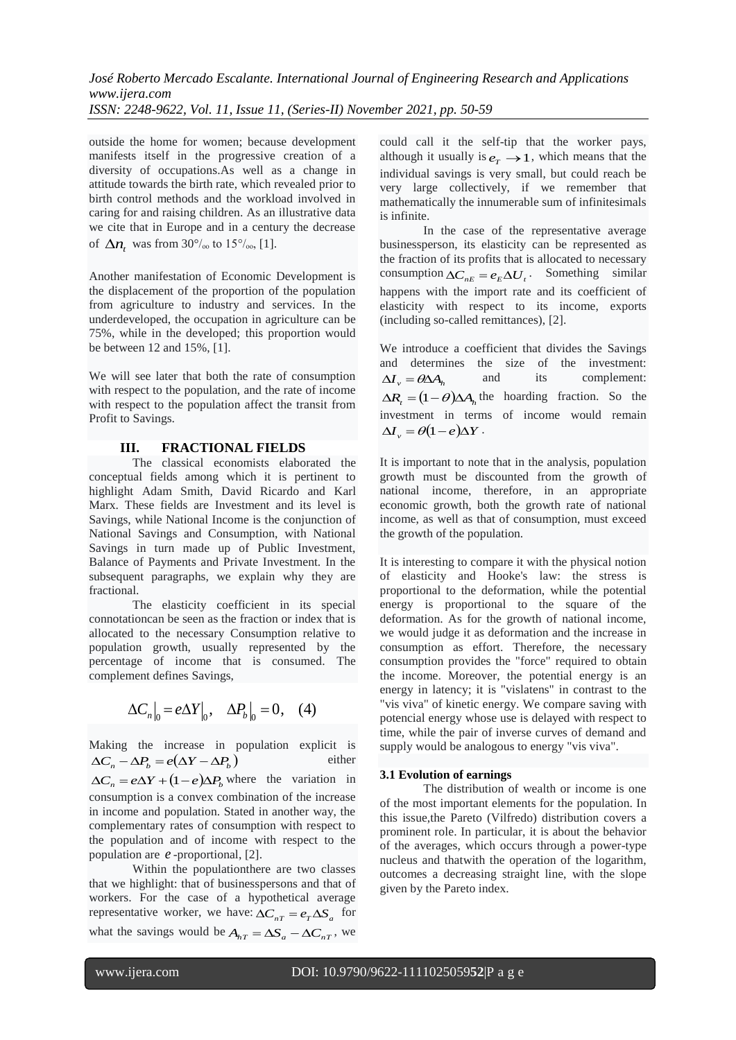outside the home for women; because development manifests itself in the progressive creation of a diversity of occupations.As well as a change in attitude towards the birth rate, which revealed prior to birth control methods and the workload involved in caring for and raising children. As an illustrative data we cite that in Europe and in a century the decrease of  $\Delta n_t$  was from 30<sup>°</sup>/<sub>00</sub> to 15<sup>°</sup>/<sub>00</sub>, [1].

Another manifestation of Economic Development is the displacement of the proportion of the population from agriculture to industry and services. In the underdeveloped, the occupation in agriculture can be 75%, while in the developed; this proportion would be between 12 and 15%, [1].

We will see later that both the rate of consumption with respect to the population, and the rate of income with respect to the population affect the transit from Profit to Savings.

### **III. FRACTIONAL FIELDS**

The classical economists elaborated the conceptual fields among which it is pertinent to highlight Adam Smith, David Ricardo and Karl Marx. These fields are Investment and its level is Savings, while National Income is the conjunction of National Savings and Consumption, with National Savings in turn made up of Public Investment, Balance of Payments and Private Investment. In the subsequent paragraphs, we explain why they are fractional.

The elasticity coefficient in its special connotationcan be seen as the fraction or index that is allocated to the necessary Consumption relative to population growth, usually represented by the percentage of income that is consumed. The complement defines Savings,

$$
\Delta C_n\big|_0 = e\Delta Y\big|_0, \quad \Delta P_b\big|_0 = 0, \quad (4)
$$

Making the increase in population explicit is  $\Delta C_n - \Delta P_b = e(\Delta Y - \Delta P_b)$ either  $\Delta C_n = e\Delta Y + (1 - e)\Delta P_b$  where the variation in consumption is a convex combination of the increase in income and population. Stated in another way, the complementary rates of consumption with respect to the population and of income with respect to the population are *e* -proportional, [2].

Within the populationthere are two classes that we highlight: that of businesspersons and that of workers. For the case of a hypothetical average representative worker, we have:  $\Delta C_{nT} = e_T \Delta S_a$  for what the savings would be  $A_{hT} = \Delta S_a - \Delta C_{nT}$ , we could call it the self-tip that the worker pays, although it usually is  $e_T \rightarrow 1$ , which means that the individual savings is very small, but could reach be very large collectively, if we remember that mathematically the innumerable sum of infinitesimals is infinite.

In the case of the representative average businessperson, its elasticity can be represented as the fraction of its profits that is allocated to necessary consumption  $\Delta C_{nE} = e_E \Delta U_t$ . Something similar happens with the import rate and its coefficient of elasticity with respect to its income, exports (including so-called remittances), [2].

We introduce a coefficient that divides the Savings and determines the size of the investment:  $\Delta I_v = \theta \Delta A_h$ and its complement:  $\Delta R_t = (1 - \theta) \Delta A_h$  the hoarding fraction. So the investment in terms of income would remain  $\Delta I_v = \theta(1-e)\Delta Y$ .

It is important to note that in the analysis, population growth must be discounted from the growth of national income, therefore, in an appropriate economic growth, both the growth rate of national income, as well as that of consumption, must exceed the growth of the population.

It is interesting to compare it with the physical notion of elasticity and Hooke's law: the stress is proportional to the deformation, while the potential energy is proportional to the square of the deformation. As for the growth of national income, we would judge it as deformation and the increase in consumption as effort. Therefore, the necessary consumption provides the "force" required to obtain the income. Moreover, the potential energy is an energy in latency; it is "vislatens" in contrast to the "vis viva" of kinetic energy. We compare saving with potencial energy whose use is delayed with respect to time, while the pair of inverse curves of demand and supply would be analogous to energy "vis viva".

#### **3.1 Evolution of earnings**

The distribution of wealth or income is one of the most important elements for the population. In this issue,the Pareto (Vilfredo) distribution covers a prominent role. In particular, it is about the behavior of the averages, which occurs through a power-type nucleus and thatwith the operation of the logarithm, outcomes a decreasing straight line, with the slope given by the Pareto index.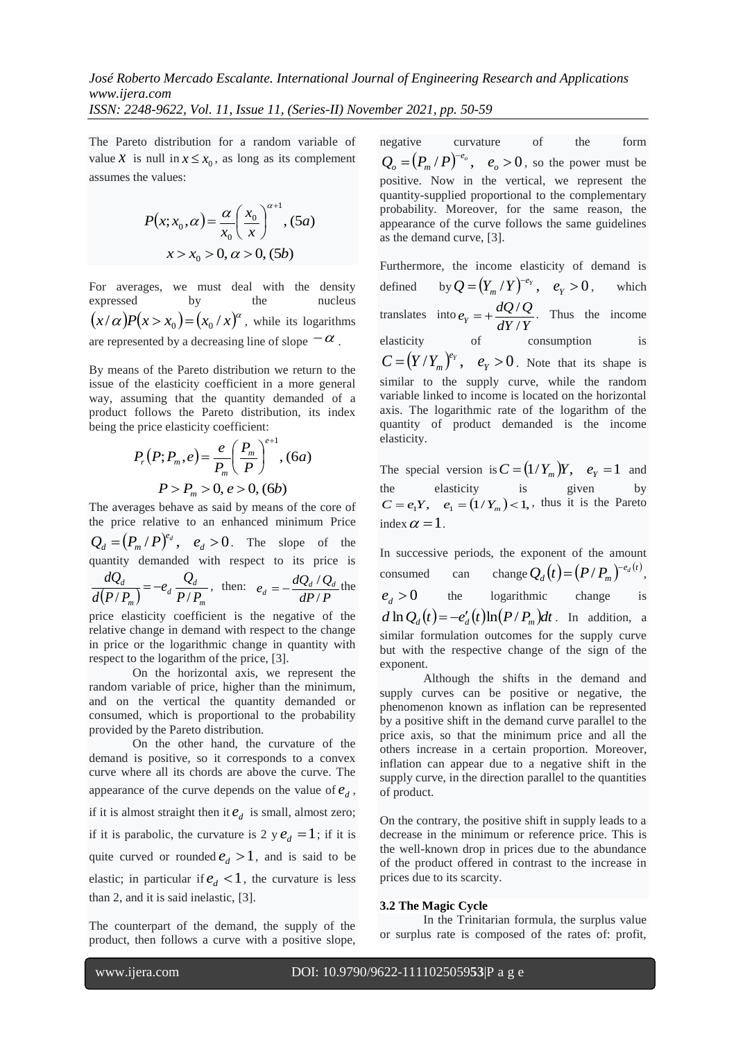The Pareto distribution for a random variable of value *X* is null in  $x \le x_0$ , as long as its complement assumes the values:

$$
P(x; x_0, \alpha) = \frac{\alpha}{x_0} \left(\frac{x_0}{x}\right)^{\alpha+1}, (5a)
$$
  

$$
x > x_0 > 0, \alpha > 0, (5b)
$$

For averages, we must deal with the density expressed by the nucleus  $(x/\alpha)P(x > x_0) = (x_0/x)^{\alpha}$ , while its logarithms are represented by a decreasing line of slope  $-\alpha$ .

By means of the Pareto distribution we return to the issue of the elasticity coefficient in a more general way, assuming that the quantity demanded of a product follows the Pareto distribution, its index being the price elasticity coefficient:

$$
P_{r}(P; P_{m}, e) = \frac{e}{P_{m}} \left(\frac{P_{m}}{P}\right)^{e+1}, (6a)
$$

$$
P > P_{m} > 0, e > 0, (6b)
$$

The averages behave as said by means of the core of the price relative to an enhanced minimum Price  $Q_d = (P_m / P)^{e_d}$ ,  $e_d > 0$ . The slope of the quantity demanded with respect to its price is  $(P/P_m)$  <sup>a</sup>  $P/P_m$  $d \frac{Q_d}{D}$ *m d*  $P/P$ <sub>*r*</sub>  $e_{d}$ <sup> $Q_{d}$ </sup>  $d(P/P_n)$ *dQ*  $(P_m)$   $\left( \begin{array}{c} a \\ P \end{array} \right)$  $=-e_d \frac{\mathcal{L}d}{\mathcal{L}l}$ , then: *dP P*  $e_d = -\frac{dQ_d/Q_d}{dP/P}$  $=-\frac{dQ_d/Q_d}{dE}$  the price elasticity coefficient is the negative of the

relative change in demand with respect to the change in price or the logarithmic change in quantity with respect to the logarithm of the price, [3].

On the horizontal axis, we represent the random variable of price, higher than the minimum, and on the vertical the quantity demanded or consumed, which is proportional to the probability provided by the Pareto distribution.

On the other hand, the curvature of the demand is positive, so it corresponds to a convex curve where all its chords are above the curve. The appearance of the curve depends on the value of  $e_d$ , if it is almost straight then it  $e_d$  is small, almost zero; if it is parabolic, the curvature is 2  $y e_d = 1$ ; if it is quite curved or rounded  $e_d > 1$ , and is said to be elastic; in particular if  $e_d < 1$ , the curvature is less than 2, and it is said inelastic, [3].

The counterpart of the demand, the supply of the product, then follows a curve with a positive slope, negative curvature of the form  $=(P_{m}/P)^{-e_{o}}, e_{o}>0$ *o*  $Q_o = (P_m / P)^{-e_o}$ ,  $e_o > 0$ , so the power must be positive. Now in the vertical, we represent the quantity-supplied proportional to the complementary probability. Moreover, for the same reason, the appearance of the curve follows the same guidelines as the demand curve, [3].

Furthermore, the income elasticity of demand is defined  $=(Y_{m}/Y)^{-e_{Y}}, e_{Y}>0$ *Y*  $Q = (Y_m / Y)^{-e_Y}, e$ , which translates into *dY Y*  $e_Y = +\frac{dQ}{Q}/Q$  $= +\frac{dQ/Q}{dW}$ . Thus the income elasticity of consumption is  $C = (Y/Y_m)^{e_Y}$ ,  $e_Y > 0$ . Note that its shape is similar to the supply curve, while the random variable linked to income is located on the horizontal axis. The logarithmic rate of the logarithm of the quantity of product demanded is the income

The special version is  $C = (1/Y_m)Y$ ,  $e_Y = 1$  and the elasticity is given by  $C = e_1 Y$ ,  $e_1 = (1/Y_m) < 1$ , thus it is the Pareto index  $\alpha = 1$ .

In successive periods, the exponent of the amount consumed can change  $Q_d(t) = (P/P_m)^{-e_d(t)}$  $Q_d(t) = (P/P_m)^{-e_d(t)},$  $e_{d} > 0$ the logarithmic change is  $d \ln Q_d(t) = -e'_d(t) \ln(P/P_m) dt$ . In addition, a similar formulation outcomes for the supply curve but with the respective change of the sign of the exponent.

Although the shifts in the demand and supply curves can be positive or negative, the phenomenon known as inflation can be represented by a positive shift in the demand curve parallel to the price axis, so that the minimum price and all the others increase in a certain proportion. Moreover, inflation can appear due to a negative shift in the supply curve, in the direction parallel to the quantities of product.

On the contrary, the positive shift in supply leads to a decrease in the minimum or reference price. This is the well-known drop in prices due to the abundance of the product offered in contrast to the increase in prices due to its scarcity.

### **3.2 The Magic Cycle**

In the Trinitarian formula, the surplus value or surplus rate is composed of the rates of: profit,

elasticity.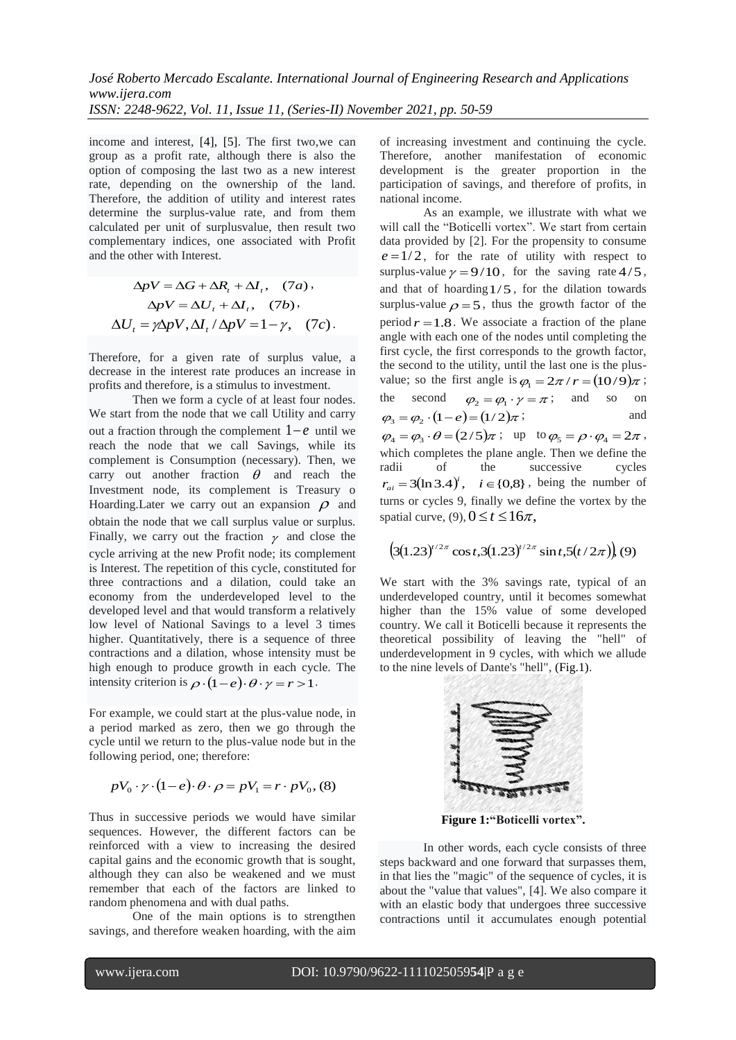income and interest, [4], [5]. The first two,we can group as a profit rate, although there is also the option of composing the last two as a new interest rate, depending on the ownership of the land. Therefore, the addition of utility and interest rates determine the surplus-value rate, and from them calculated per unit of surplusvalue, then result two complementary indices, one associated with Profit and the other with Interest.

$$
\Delta pV = \Delta G + \Delta R_t + \Delta I_t, (7a),
$$
  
\n
$$
\Delta pV = \Delta U_t + \Delta I_t, (7b),
$$
  
\n
$$
\Delta U_t = \gamma \Delta pV, \Delta I_t / \Delta pV = 1 - \gamma, (7c).
$$

Therefore, for a given rate of surplus value, a decrease in the interest rate produces an increase in profits and therefore, is a stimulus to investment.

Then we form a cycle of at least four nodes. We start from the node that we call Utility and carry out a fraction through the complement  $1-e$  until we reach the node that we call Savings, while its complement is Consumption (necessary). Then, we carry out another fraction  $\theta$  and reach the Investment node, its complement is Treasury o Hoarding. Later we carry out an expansion  $\rho$  and obtain the node that we call surplus value or surplus. Finally, we carry out the fraction  $\gamma$  and close the cycle arriving at the new Profit node; its complement is Interest. The repetition of this cycle, constituted for three contractions and a dilation, could take an economy from the underdeveloped level to the developed level and that would transform a relatively low level of National Savings to a level 3 times higher. Quantitatively, there is a sequence of three contractions and a dilation, whose intensity must be high enough to produce growth in each cycle. The intensity criterion is  $\rho \cdot (1-e) \cdot \theta \cdot \gamma = r > 1$ .

For example, we could start at the plus-value node, in a period marked as zero, then we go through the cycle until we return to the plus-value node but in the following period, one; therefore:

$$
pV_0 \cdot \gamma \cdot (1-e) \cdot \theta \cdot \rho = pV_1 = r \cdot pV_0, (8)
$$

Thus in successive periods we would have similar sequences. However, the different factors can be reinforced with a view to increasing the desired capital gains and the economic growth that is sought, although they can also be weakened and we must remember that each of the factors are linked to random phenomena and with dual paths.

One of the main options is to strengthen savings, and therefore weaken hoarding, with the aim of increasing investment and continuing the cycle. Therefore, another manifestation of economic development is the greater proportion in the participation of savings, and therefore of profits, in national income.

As an example, we illustrate with what we will call the "Boticelli vortex". We start from certain data provided by [2]. For the propensity to consume  $e = 1/2$ , for the rate of utility with respect to surplus-value  $\gamma = 9/10$ , for the saving rate 4/5, and that of hoarding 1/5 , for the dilation towards surplus-value  $\rho = 5$ , thus the growth factor of the period  $r = 1.8$ . We associate a fraction of the plane angle with each one of the nodes until completing the first cycle, the first corresponds to the growth factor, the second to the utility, until the last one is the plusvalue; so the first angle is  $\varphi_1 = 2\pi / r = (10/9)\pi$ ; the second  $\varphi_2 = \varphi_1 \cdot \gamma = \pi$ ; and so on  $\varphi_3 = \varphi_2 \cdot (1-e) = (1/2)\pi$ ; and  $\varphi_4 = \varphi_3 \cdot \theta = (2/5)\pi$ ; up to  $\varphi_5 = \rho \cdot \varphi_4 = 2\pi$ , which completes the plane angle. Then we define the radii of the successive cycles  $r_{ai} = 3(\ln 3.4)^i$ ,  $i \in \{0,8\}$ , being the number of turns or cycles 9, finally we define the vortex by the spatial curve,  $(9)$ ,  $0 \le t \le 16\pi$ ,

$$
\left(3(1.23)^{t/2\pi}\cos t,3(1.23)^{t/2\pi}\sin t,5(t/2\pi)\right)(9)
$$

We start with the 3% savings rate, typical of an underdeveloped country, until it becomes somewhat higher than the 15% value of some developed country. We call it Boticelli because it represents the theoretical possibility of leaving the "hell" of underdevelopment in 9 cycles, with which we allude to the nine levels of Dante's "hell", (Fig.1).



**Figure 1:"Boticelli vortex".**

In other words, each cycle consists of three steps backward and one forward that surpasses them, in that lies the "magic" of the sequence of cycles, it is about the "value that values", [4]. We also compare it with an elastic body that undergoes three successive contractions until it accumulates enough potential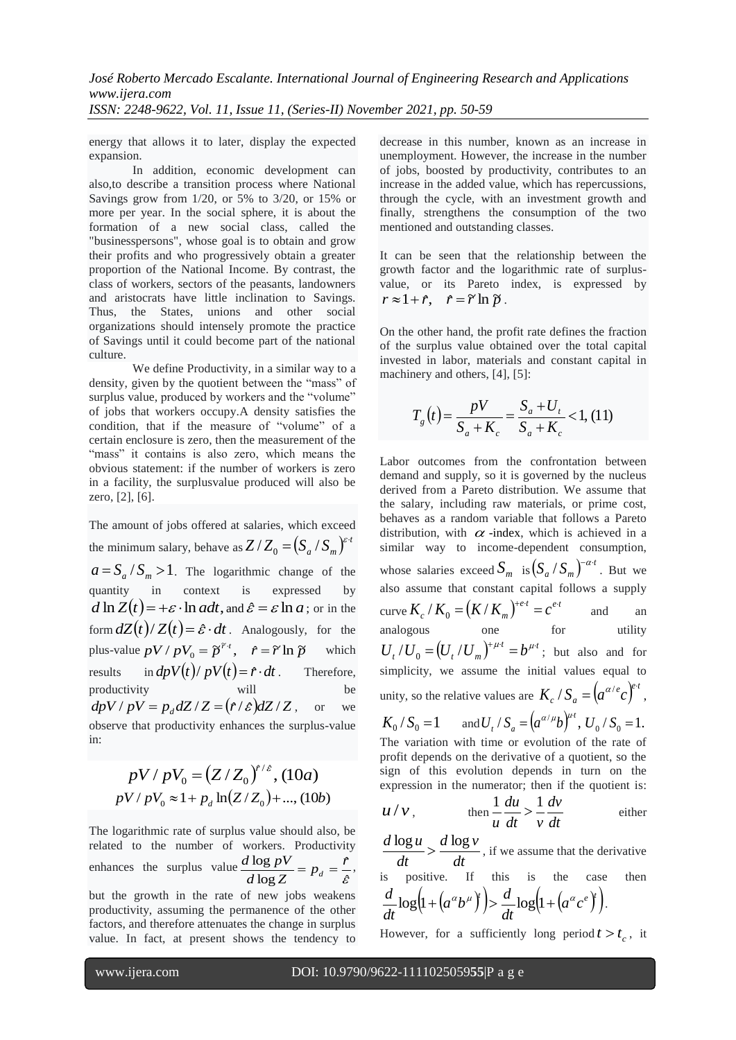energy that allows it to later, display the expected expansion.

In addition, economic development can also,to describe a transition process where National Savings grow from 1/20, or 5% to 3/20, or 15% or more per year. In the social sphere, it is about the formation of a new social class, called the "businesspersons", whose goal is to obtain and grow their profits and who progressively obtain a greater proportion of the National Income. By contrast, the class of workers, sectors of the peasants, landowners and aristocrats have little inclination to Savings. Thus, the States, unions and other social organizations should intensely promote the practice of Savings until it could become part of the national culture.

We define Productivity, in a similar way to a density, given by the quotient between the "mass" of surplus value, produced by workers and the "volume" of jobs that workers occupy.A density satisfies the condition, that if the measure of "volume" of a certain enclosure is zero, then the measurement of the "mass" it contains is also zero, which means the obvious statement: if the number of workers is zero in a facility, the surplusvalue produced will also be zero, [2], [6].

The amount of jobs offered at salaries, which exceed the minimum salary, behave as  $Z/Z_0 = (S_a/S_m)^{\varepsilon \cdot t}$  $a = S_a / S_m > 1$ . The logarithmic change of the quantity in context is expressed by  $d \ln Z(t) = +\varepsilon \cdot \ln a dt$ , and  $\hat{\varepsilon} = \varepsilon \ln a$ ; or in the form  $dZ(t)/Z(t) = \hat{\varepsilon} \cdot dt$ . Analogously, for the plus-value  $pV / pV_0 = \tilde{p}^{r \cdot t}$ ,  $\hat{r} = \tilde{r} \ln \tilde{p}$  which results  $dpV(t)/pV(t) = \hat{r} \cdot dt$ . Therefore, productivity  $dpV / pV = p_d dZ / Z = (\hat{r}/\hat{\varepsilon}) dZ / Z$ , or we observe that productivity enhances the surplus-value in:

$$
pV / pV_0 = (Z / Z_0)^{f/\varepsilon}, (10a)
$$
  

$$
pV / pV_0 \approx 1 + p_d \ln(Z/Z_0) + ..., (10b)
$$

The logarithmic rate of surplus value should also, be related to the number of workers. Productivity enhances the surplus value  $\hat{\mathcal{E}}$ ˆ log  $\frac{\log pV}{\log p} = p_d = \frac{\hat{r}}{g}$  $d \log Z$  $\frac{d \log pV}{d \log Z} = p_d = \frac{\hat{r}}{\hat{s}},$ 

but the growth in the rate of new jobs weakens productivity, assuming the permanence of the other factors, and therefore attenuates the change in surplus value. In fact, at present shows the tendency to decrease in this number, known as an increase in unemployment. However, the increase in the number of jobs, boosted by productivity, contributes to an increase in the added value, which has repercussions, through the cycle, with an investment growth and finally, strengthens the consumption of the two mentioned and outstanding classes.

It can be seen that the relationship between the growth factor and the logarithmic rate of surplusvalue, or its Pareto index, is expressed by  $r \approx 1 + \hat{r}$ ,  $\hat{r} = \tilde{r} \ln \tilde{p}$ .

On the other hand, the profit rate defines the fraction of the surplus value obtained over the total capital invested in labor, materials and constant capital in machinery and others, [4], [5]:

$$
T_g(t) = \frac{pV}{S_a + K_c} = \frac{S_a + U_t}{S_a + K_c} < 1, \, (11)
$$

Labor outcomes from the confrontation between demand and supply, so it is governed by the nucleus derived from a Pareto distribution. We assume that the salary, including raw materials, or prime cost, behaves as a random variable that follows a Pareto distribution, with  $\alpha$  -index, which is achieved in a similar way to income-dependent consumption, whose salaries exceed  $S_m$  is  $(S_a / S_m)^{-\alpha}$  $\left(S_a / S_m\right)^{-\alpha \cdot t}$ . But we also assume that constant capital follows a supply curve  $K_c$  /  $K_0 = (K/K_m)^{+e \cdot t} = c^{e \cdot t}$ and an analogous one for utility  $U_t$  / $U_0 = (U_t$  / $U_m$ <sup> $)$ + $\mu$ + $t$ </sup> =  $b^{\mu t}$ ; but also and for simplicity, we assume the initial values equal to unity, so the relative values are  $K_c / S_a = (a^{\alpha/e}c)^{e \cdot t}$ ,  $K_0 / S_0 = 1$  and  $U_t / S_a = (a^{\alpha/\mu}b)^{\mu t}$ ,  $U_0 / S_0 = 1$ . The variation with time or evolution of the rate of profit depends on the derivative of a quotient, so the sign of this evolution depends in turn on the expression in the numerator; then if the quotient is: *dv du*  $1 du$   $1$ 

$$
u/v, \tthen  $\frac{1}{u} \frac{du}{dt} > \frac{1}{v} \frac{dv}{dt}$  either
$$

*dt*  $d \log v$ *dt*  $\frac{d \log u}{d} > \frac{d \log v}{d}$ , if we assume that the derivative positive. If this is the case then  $\left(1+\left(a^{\alpha}b^{\mu}\right)^{\gamma}\right)>\frac{d}{\gamma}\log\left(1+\left(a^{\alpha}c^{\beta}\right)^{\gamma}\right).$ *dt*  $(a^{\alpha}b^{\mu})\geq \frac{d}{b}$ *dt*  $\frac{d}{d\theta} \log\left(1 + \left(a^{\alpha} b^{\mu}\right)^{\alpha}\right) > \frac{d}{d\theta} \log\left(1 + \left(a^{\alpha} c^{\beta}\right)^{\alpha}\right).$ 

However, for a sufficiently long period  $t > t_c$ , it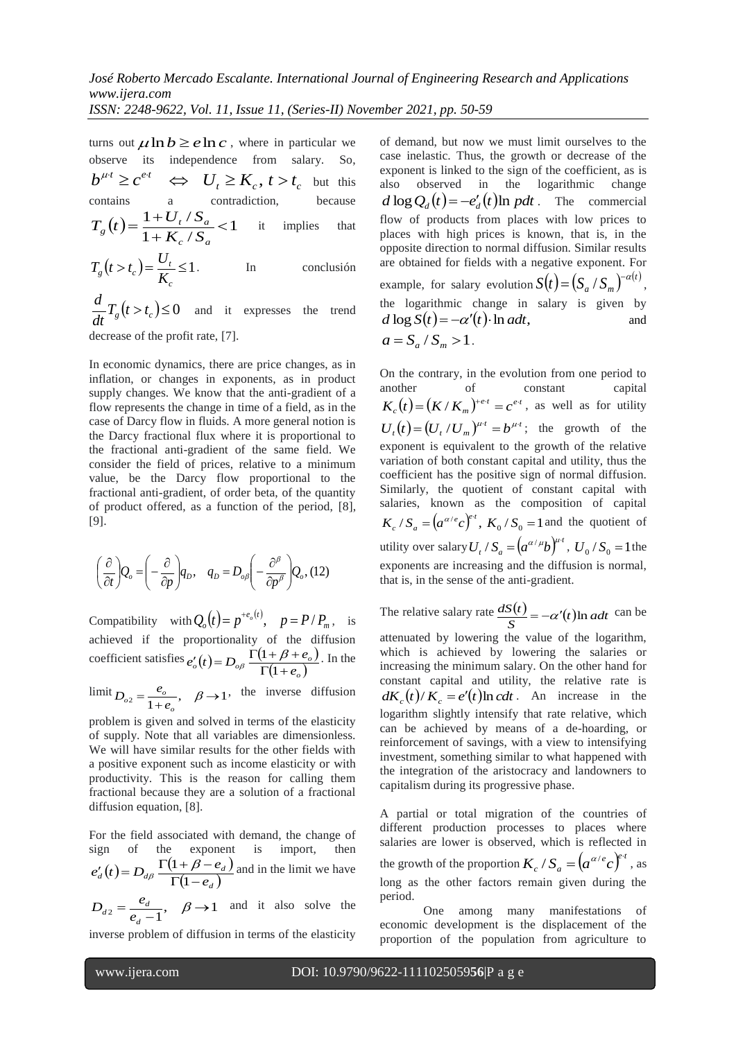turns out  $\mu \ln b \ge e \ln c$ , where in particular we observe its independence from salary. So,  $b^{\mu t} \ge c^{e t} \iff U_t \ge K_c$ ,  $t > t_c$  but this contains a contradiction, because  $(t) = \frac{1+U_t/S_a}{1+K_t/G} < 1$  $1 + K_c$  /  $\frac{1 + U_t / S_a}{1 + K_t / S_a}$  $\overline{+}$  $=\frac{1+}{1}$  $c \cdot \mathbf{a}$  $f_g(t) = \frac{1+U_t/S_a}{1+K_c/S_a}$  $T_g(t) = \frac{1+U_t/S_a}{1+K_s/S} < 1$  it implies that  $(t > t_c) = \frac{U_t}{K} \le 1$ *c*  $\frac{\partial}{\partial g}(t > t_c) = \frac{\partial f}{\partial K_c}$  $T_e(t > t_c) = \frac{U_t}{K} \le 1$ . In conclusión

 $T_g(t > t_c) \leq 0$ *dt*  $\frac{d}{dt}T_e(t>t_c) \leq 0$  and it expresses the trend decrease of the profit rate, [7].

In economic dynamics, there are price changes, as in inflation, or changes in exponents, as in product supply changes. We know that the anti-gradient of a flow represents the change in time of a field, as in the case of Darcy flow in fluids. A more general notion is the Darcy fractional flux where it is proportional to the fractional anti-gradient of the same field. We consider the field of prices, relative to a minimum value, be the Darcy flow proportional to the fractional anti-gradient, of order beta, of the quantity of product offered, as a function of the period, [8], [9].

$$
\left(\frac{\partial}{\partial t}\right) Q_o = \left(-\frac{\partial}{\partial p}\right) q_D, \quad q_D = D_{o\beta} \left(-\frac{\partial^{\beta}}{\partial p^{\beta}}\right) Q_o, (12)
$$

Compatibility with  $Q_o(t) = p^{+e_o(t)}$  $Q_o(t) = p^{+e_o(t)}, \quad p = P/P_m, \text{ is}$ achieved if the proportionality of the diffusion coefficient satisfies  $e'_{o}(t) = D_{o\beta} \frac{\Gamma(1+\beta+e_{o})}{\Gamma(1+\beta+e_{o})}$  $\int_{o}^{t}(t) = D_{o\beta} \frac{1(1+\beta+e_{o})}{\Gamma(1+e_{o})}$  $e'_{o}(t) = D_{o\beta} \frac{\Gamma(1+\beta+e)}{\Gamma(1+e_{o})}$  $I'_o(t) = D_{o\beta} \frac{\Gamma(1 + \beta + \ \Gamma(1 + e_o))}{\Gamma(1 + e_o)}$  $\int_{\beta} \frac{\Gamma(1+\beta+e_o)}{\Gamma(1+\beta)}$ . In the

 $\lim_{\delta_2} E_{\delta_2} = \frac{e_{\delta}}{1+e_{\delta}}, \quad \beta \to 1$ *o*  $D_{o2} = \frac{e_o}{1 + e_o}, \quad \beta \rightarrow 1$ , the inverse diffusion

problem is given and solved in terms of the elasticity of supply. Note that all variables are dimensionless. We will have similar results for the other fields with a positive exponent such as income elasticity or with productivity. This is the reason for calling them fractional because they are a solution of a fractional diffusion equation, [8].

For the field associated with demand, the change of sign of the exponent is import,  $(t) = D_{d\beta} \frac{\Gamma(1+\beta-e_d)}{\Gamma(1+\beta-e_d)}$  $d_{d}(t) = D_{d\beta} \frac{1(1 + \beta - e_{d})}{\Gamma(1 - e_{d})}$  $e'_d(t) = D_{d\beta} \frac{\Gamma(1+\beta-e)}{\Gamma(1-e_d)}$  $I_d(t) = D_{d\beta} \frac{\Gamma(1 + \beta - \ \Gamma(1 - e_d))}{\Gamma(1 - e_d)}$  $\frac{\Gamma(1+\beta-e_d)}{\Gamma(1-\beta)}$  and in the limit we have

 $e_2 = \frac{e_d}{e_d - 1}, \quad \beta \rightarrow 1$ *d*  $d_2 = \frac{e_d}{e_d}$  $D_{d2} = \frac{e_d}{\epsilon}$ ,  $\beta \rightarrow 1$  and it also solve the

inverse problem of diffusion in terms of the elasticity

of demand, but now we must limit ourselves to the case inelastic. Thus, the growth or decrease of the exponent is linked to the sign of the coefficient, as is also observed in the logarithmic change  $d \log Q_d(t) = -e'_d(t) \ln p dt$ . The commercial flow of products from places with low prices to places with high prices is known, that is, in the opposite direction to normal diffusion. Similar results are obtained for fields with a negative exponent. For example, for salary evolution  $S(t) = (S_a / S_m)^{-\alpha(t)}$  $S(t) = (S_a / S_m)^{-\alpha(t)},$ the logarithmic change in salary is given by  $d \log S(t) = -\alpha'(t) \cdot \ln a dt$ , and  $a = S_a / S_m > 1$ .

On the contrary, in the evolution from one period to another of constant capital  $K_c(t) = (K/K_m)^{+e \cdot t} = c^{e \cdot t}$ , as well as for utility  $U_t(t) = (U_t / U_m)^{\mu t} = b^{\mu t}$ ; the growth of the exponent is equivalent to the growth of the relative variation of both constant capital and utility, thus the coefficient has the positive sign of normal diffusion. Similarly, the quotient of constant capital with salaries, known as the composition of capital  $K_c / S_a = (a^{\alpha/e} c)^{e^t}, K_0 / S_0 = 1$  and the quotient of utility over salary  $U_t / S_a = (a^{\alpha/\mu}b)^{\mu \tau}$ ,  $U_0 / S_0 = 1$  the exponents are increasing and the diffusion is normal, that is, in the sense of the anti-gradient.

The relative salary rate  $\frac{dS(t)}{S} = -\alpha'(t) \ln a dt$  $\frac{dS(t)}{dt} = -\alpha'(t) \ln a dt$  can be attenuated by lowering the value of the logarithm, which is achieved by lowering the salaries or increasing the minimum salary. On the other hand for constant capital and utility, the relative rate is  $dK_c(t)/K_c = e'(t) \ln c dt$ . An increase in the logarithm slightly intensify that rate relative, which can be achieved by means of a de-hoarding, or reinforcement of savings, with a view to intensifying investment, something similar to what happened with the integration of the aristocracy and landowners to capitalism during its progressive phase.

A partial or total migration of the countries of different production processes to places where salaries are lower is observed, which is reflected in the growth of the proportion  $K_c / S_a = (a^{\alpha/e} c)^{e^t}$ , as long as the other factors remain given during the period.

One among many manifestations of economic development is the displacement of the proportion of the population from agriculture to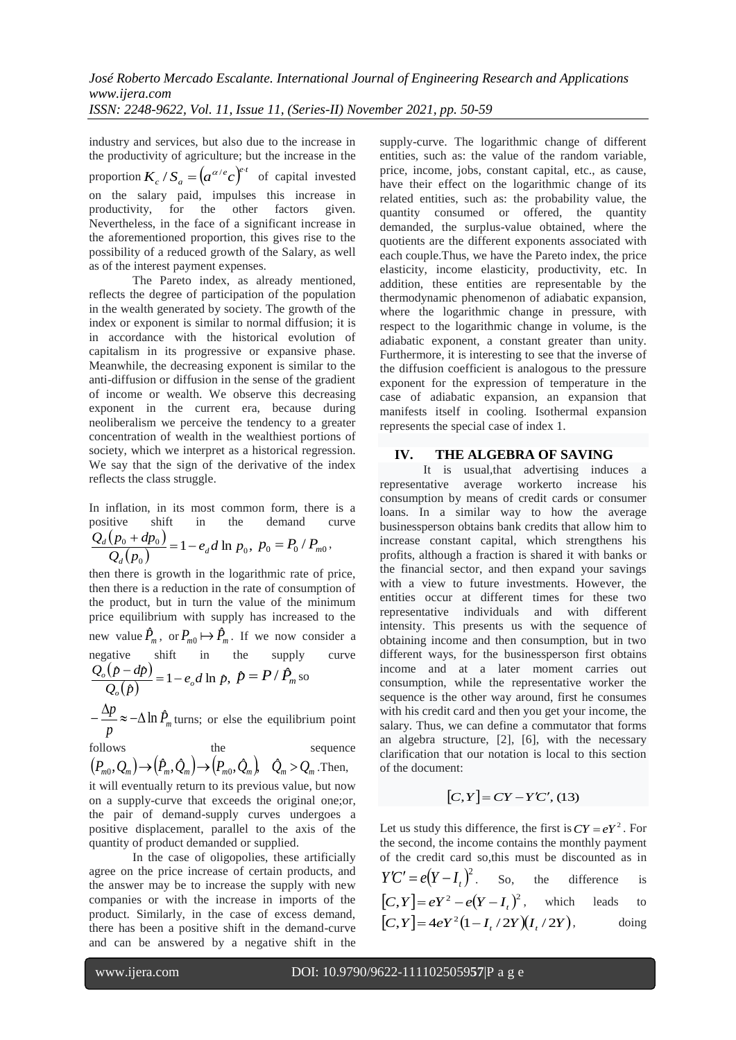industry and services, but also due to the increase in the productivity of agriculture; but the increase in the proportion  $K_c / S_a = (a^{\alpha/e} c)^{e \cdot t}$  of capital invested on the salary paid, impulses this increase in productivity, for the other factors given. productivity, for the other factors given. Nevertheless, in the face of a significant increase in the aforementioned proportion, this gives rise to the possibility of a reduced growth of the Salary, as well as of the interest payment expenses.

The Pareto index, as already mentioned, reflects the degree of participation of the population in the wealth generated by society. The growth of the index or exponent is similar to normal diffusion; it is in accordance with the historical evolution of capitalism in its progressive or expansive phase. Meanwhile, the decreasing exponent is similar to the anti-diffusion or diffusion in the sense of the gradient of income or wealth. We observe this decreasing exponent in the current era, because during neoliberalism we perceive the tendency to a greater concentration of wealth in the wealthiest portions of society, which we interpret as a historical regression. We say that the sign of the derivative of the index reflects the class struggle.

In inflation, in its most common form, there is a positive shift in the demand curve  $Q_d(p_0 + dp_0)$ ,

$$
\frac{Q_d(p_0 + ap_0)}{Q_d(p_0)} = 1 - e_d d \ln p_0, \ p_0 = P_0 / P_{m0},
$$

then there is growth in the logarithmic rate of price, then there is a reduction in the rate of consumption of the product, but in turn the value of the minimum price equilibrium with supply has increased to the new value  $\hat{P}_m$ , or  $P_{m0} \mapsto \hat{P}_m$ . If we now consider a negative shift in the supply curve

$$
\frac{Q_o(p - dp)}{Q_o(p)} = 1 - e_o d \ln p, \ \hat{p} = P / \hat{P}_m
$$
 so

 $\frac{p}{p} \approx -\Delta \ln P_m$  $-\frac{\Delta p}{\Delta} \approx -\Delta \ln \hat{P}_m$  turns; or else the equilibrium point

follows the sequence  
\n
$$
(P_{m0}, Q_m) \rightarrow (\hat{P}_m, \hat{Q}_m) \rightarrow (P_{m0}, \hat{Q}_m)
$$
,  $\hat{Q}_m > Q_m$ . Then,

it will eventually return to its previous value, but now on a supply-curve that exceeds the original one;or, the pair of demand-supply curves undergoes a positive displacement, parallel to the axis of the quantity of product demanded or supplied.

In the case of oligopolies, these artificially agree on the price increase of certain products, and the answer may be to increase the supply with new companies or with the increase in imports of the product. Similarly, in the case of excess demand, there has been a positive shift in the demand-curve and can be answered by a negative shift in the

supply-curve. The logarithmic change of different entities, such as: the value of the random variable, price, income, jobs, constant capital, etc., as cause, have their effect on the logarithmic change of its related entities, such as: the probability value, the quantity consumed or offered, the quantity demanded, the surplus-value obtained, where the quotients are the different exponents associated with each couple.Thus, we have the Pareto index, the price elasticity, income elasticity, productivity, etc. In addition, these entities are representable by the thermodynamic phenomenon of adiabatic expansion, where the logarithmic change in pressure, with respect to the logarithmic change in volume, is the adiabatic exponent, a constant greater than unity. Furthermore, it is interesting to see that the inverse of the diffusion coefficient is analogous to the pressure exponent for the expression of temperature in the case of adiabatic expansion, an expansion that manifests itself in cooling. Isothermal expansion represents the special case of index 1.

# **IV. THE ALGEBRA OF SAVING**

It is usual,that advertising induces a representative average workerto increase his consumption by means of credit cards or consumer loans. In a similar way to how the average businessperson obtains bank credits that allow him to increase constant capital, which strengthens his profits, although a fraction is shared it with banks or the financial sector, and then expand your savings with a view to future investments. However, the entities occur at different times for these two representative individuals and with different intensity. This presents us with the sequence of obtaining income and then consumption, but in two different ways, for the businessperson first obtains income and at a later moment carries out consumption, while the representative worker the sequence is the other way around, first he consumes with his credit card and then you get your income, the salary. Thus, we can define a commutator that forms an algebra structure, [2], [6], with the necessary clarification that our notation is local to this section of the document:

$$
[C, Y] = CY - Y'C', (13)
$$

Let us study this difference, the first is  $CY = eY^2$ . For the second, the income contains the monthly payment of the credit card so,this must be discounted as in  $Y'C' = e(Y - I_t)^2$ the difference is  $[C, Y] = eY^2 - e(Y - I_t)^2$ , which leads to  $[C, Y] = 4eY^2(1 - I_t / 2Y)(I_t / 2Y),$  doing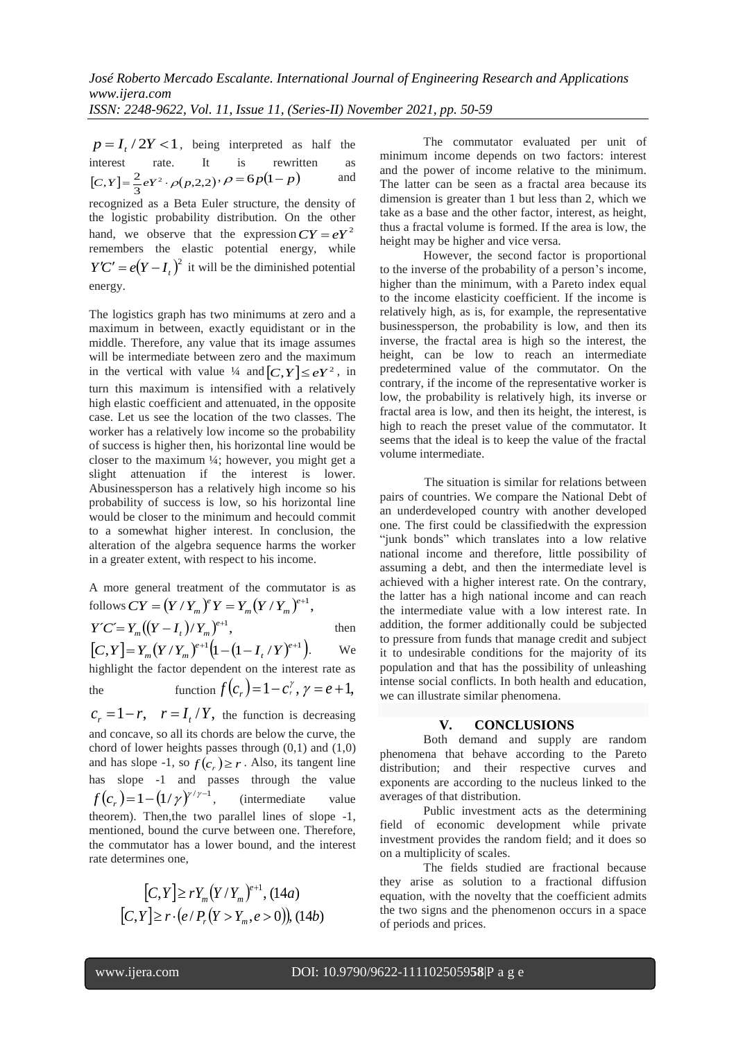$p = I_t / 2Y < 1$ , being interpreted as half the interest rate. It is rewritten as  $[C, Y] = \frac{2}{3} eY^2 \cdot \rho(p, 2, 2)$  $[C, Y] = \frac{2}{2} eY^2 \cdot \rho(p, 2, 2) \cdot \rho = 6p(1-p)$ and recognized as a Beta Euler structure, the density of the logistic probability distribution. On the other hand, we observe that the expression  $CY = eY^2$ remembers the elastic potential energy, while  $Y'C' = e(Y - I_t)^2$  it will be the diminished potential energy.

The logistics graph has two minimums at zero and a maximum in between, exactly equidistant or in the middle. Therefore, any value that its image assumes will be intermediate between zero and the maximum in the vertical with value  $\frac{1}{4}$  and  $[C, Y] \le eY^2$ , in turn this maximum is intensified with a relatively high elastic coefficient and attenuated, in the opposite case. Let us see the location of the two classes. The worker has a relatively low income so the probability of success is higher then, his horizontal line would be closer to the maximum ¼; however, you might get a slight attenuation if the interest is lower. Abusinessperson has a relatively high income so his probability of success is low, so his horizontal line would be closer to the minimum and hecould commit to a somewhat higher interest. In conclusion, the alteration of the algebra sequence harms the worker in a greater extent, with respect to his income.

A more general treatment of the commutator is as follows  $CY = (Y/Y_m)^e Y = Y_m (Y/Y_m)^{e+1}$ ,  $CY = (Y/Y_m)^e Y = Y_m(Y/Y_m)$ 

$$
Y'C'=Y_m((Y-I_t)/Y_m)^{e+1},
$$
 then  
Then

 $[C, Y] = Y_m (Y/Y_m)^{e+1} (1 - (1 - I_t/Y)^{e+1}).$  $\left[ C, Y \right] = Y_m (Y/Y_m)^{e+1} \left( 1 - \left( 1 - I_t / Y_m \right) \right)$ . We highlight the factor dependent on the interest rate as

the function 
$$
f(c_r) = 1 - c_r^{\gamma}
$$
,  $\gamma = e + 1$ ,

 $c_r = 1 - r$ ,  $r = I_t / Y$ , the function is decreasing and concave, so all its chords are below the curve, the chord of lower heights passes through  $(0,1)$  and  $(1,0)$ and has slope -1, so  $f(c_r) \ge r$ . Also, its tangent line has slope -1 and passes through the value  $f(c_r) = 1 - (1/\gamma)^{\gamma/\gamma - 1}$ , (intermediate value theorem). Then,the two parallel lines of slope -1, mentioned, bound the curve between one. Therefore, the commutator has a lower bound, and the interest rate determines one,

$$
[C, Y] \ge r Y_m (Y/Y_m)^{e+1}, (14a)
$$
  

$$
[C, Y] \ge r \cdot (e/P_r (Y > Y_m, e > 0)), (14b)
$$

The commutator evaluated per unit of minimum income depends on two factors: interest and the power of income relative to the minimum. The latter can be seen as a fractal area because its dimension is greater than 1 but less than 2, which we take as a base and the other factor, interest, as height, thus a fractal volume is formed. If the area is low, the height may be higher and vice versa.

However, the second factor is proportional to the inverse of the probability of a person's income, higher than the minimum, with a Pareto index equal to the income elasticity coefficient. If the income is relatively high, as is, for example, the representative businessperson, the probability is low, and then its inverse, the fractal area is high so the interest, the height, can be low to reach an intermediate predetermined value of the commutator. On the contrary, if the income of the representative worker is low, the probability is relatively high, its inverse or fractal area is low, and then its height, the interest, is high to reach the preset value of the commutator. It seems that the ideal is to keep the value of the fractal volume intermediate.

The situation is similar for relations between pairs of countries. We compare the National Debt of an underdeveloped country with another developed one. The first could be classifiedwith the expression "junk bonds" which translates into a low relative national income and therefore, little possibility of assuming a debt, and then the intermediate level is achieved with a higher interest rate. On the contrary, the latter has a high national income and can reach the intermediate value with a low interest rate. In addition, the former additionally could be subjected to pressure from funds that manage credit and subject it to undesirable conditions for the majority of its population and that has the possibility of unleashing intense social conflicts. In both health and education, we can illustrate similar phenomena.

## **V. CONCLUSIONS**

Both demand and supply are random phenomena that behave according to the Pareto distribution; and their respective curves and exponents are according to the nucleus linked to the averages of that distribution.

Public investment acts as the determining field of economic development while private investment provides the random field; and it does so on a multiplicity of scales.

The fields studied are fractional because they arise as solution to a fractional diffusion equation, with the novelty that the coefficient admits the two signs and the phenomenon occurs in a space of periods and prices.